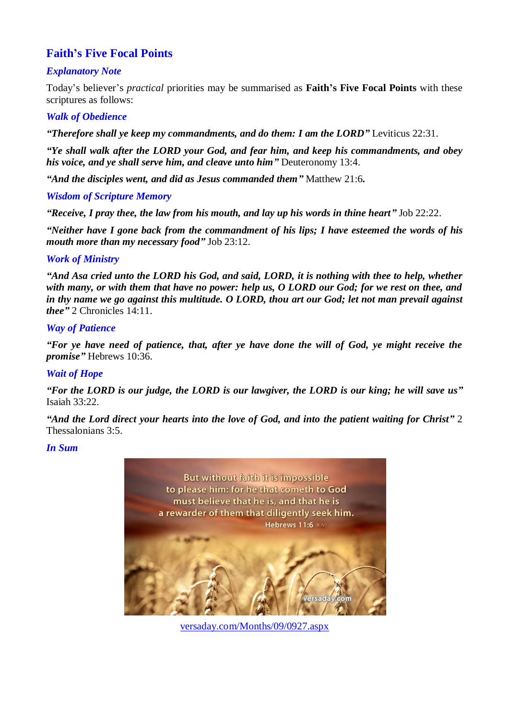# **Faith's Five Focal Points**

# *Explanatory Note*

Today's believer's *practical* priorities may be summarised as **Faith's Five Focal Points** with these scriptures as follows:

### *Walk of Obedience*

*"Therefore shall ye keep my commandments, and do them: I am the LORD"* Leviticus 22:31.

*"Ye shall walk after the LORD your God, and fear him, and keep his commandments, and obey his voice, and ye shall serve him, and cleave unto him"* Deuteronomy 13:4.

*"And the disciples went, and did as Jesus commanded them"* Matthew 21:6*.*

#### *Wisdom of Scripture Memory*

*"Receive, I pray thee, the law from his mouth, and lay up his words in thine heart"* Job 22:22.

*"Neither have I gone back from the commandment of his lips; I have esteemed the words of his mouth more than my necessary food"* Job 23:12.

### *Work of Ministry*

*"And Asa cried unto the LORD his God, and said, LORD, it is nothing with thee to help, whether with many, or with them that have no power: help us, O LORD our God; for we rest on thee, and in thy name we go against this multitude. O LORD, thou art our God; let not man prevail against thee"* 2 Chronicles 14:11.

### *Way of Patience*

*"For ye have need of patience, that, after ye have done the will of God, ye might receive the promise"* Hebrews 10:36.

### *Wait of Hope*

*"For the LORD is our judge, the LORD is our lawgiver, the LORD is our king; he will save us"* Isaiah 33:22.

*"And the Lord direct your hearts into the love of God, and into the patient waiting for Christ"* 2 Thessalonians 3:5.

#### *In Sum*



[versaday.com/Months/09/0927.aspx](https://versaday.com/Months/09/0927.aspx)